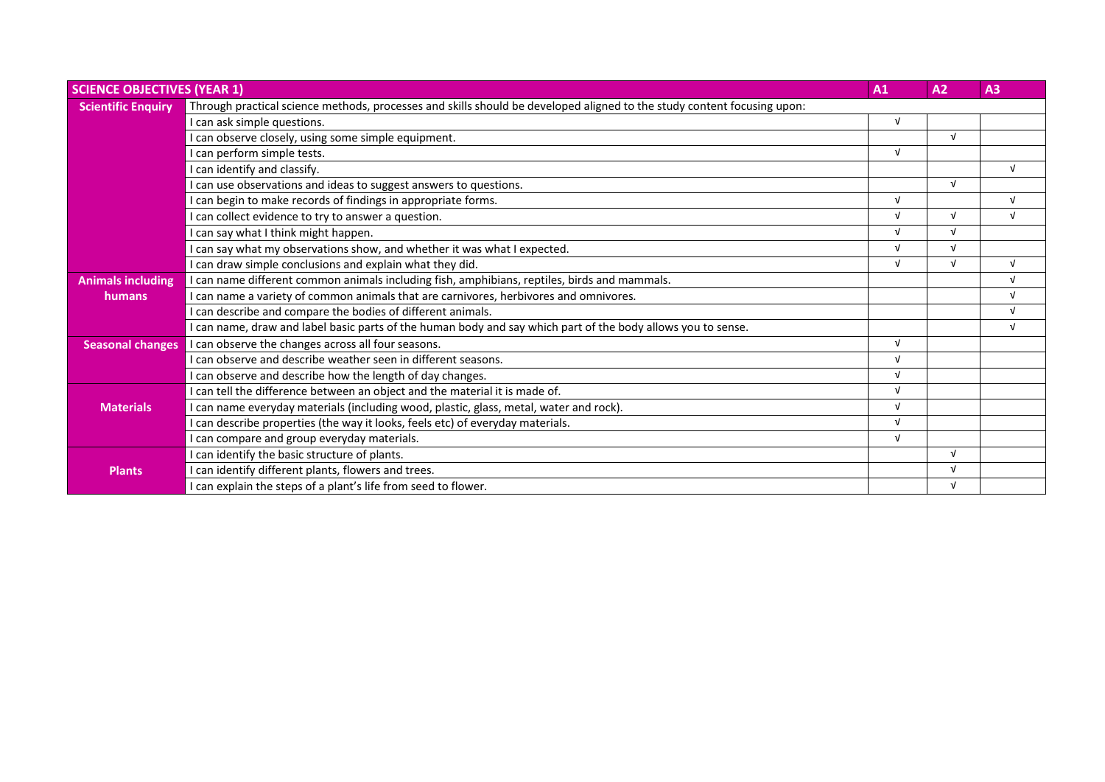| <b>SCIENCE OBJECTIVES (YEAR 1)</b> |                                                                                                                         | A1         | A <sub>2</sub> | A3         |
|------------------------------------|-------------------------------------------------------------------------------------------------------------------------|------------|----------------|------------|
| <b>Scientific Enquiry</b>          | Through practical science methods, processes and skills should be developed aligned to the study content focusing upon: |            |                |            |
|                                    | I can ask simple questions.                                                                                             | $\sqrt{ }$ |                |            |
|                                    | can observe closely, using some simple equipment.                                                                       |            | $\sqrt{ }$     |            |
|                                    | I can perform simple tests.                                                                                             | $\sqrt{ }$ |                |            |
|                                    | I can identify and classify.                                                                                            |            |                | $\sqrt{ }$ |
|                                    | can use observations and ideas to suggest answers to questions.                                                         |            | $\sqrt{ }$     |            |
|                                    | I can begin to make records of findings in appropriate forms.                                                           | $\sqrt{ }$ |                | $\sqrt{ }$ |
|                                    | can collect evidence to try to answer a question.                                                                       | $\sqrt{ }$ | $\sqrt{ }$     | $\sqrt{ }$ |
|                                    | can say what I think might happen.                                                                                      | $\sqrt{ }$ | $\sqrt{ }$     |            |
|                                    | can say what my observations show, and whether it was what I expected.                                                  | $\sqrt{ }$ | $\sqrt{ }$     |            |
|                                    | I can draw simple conclusions and explain what they did.                                                                | $\sqrt{ }$ | $\sqrt{ }$     | $\sqrt{ }$ |
| <b>Animals including</b>           | I can name different common animals including fish, amphibians, reptiles, birds and mammals.                            |            |                | $\sqrt{ }$ |
| humans                             | I can name a variety of common animals that are carnivores, herbivores and omnivores.                                   |            |                | $\sqrt{ }$ |
|                                    | I can describe and compare the bodies of different animals.                                                             |            |                | $\sqrt{ }$ |
|                                    | can name, draw and label basic parts of the human body and say which part of the body allows you to sense.              |            |                | $\sqrt{ }$ |
| <b>Seasonal changes</b>            | I can observe the changes across all four seasons.                                                                      | $\sqrt{ }$ |                |            |
|                                    | can observe and describe weather seen in different seasons.                                                             | $\sqrt{ }$ |                |            |
|                                    | I can observe and describe how the length of day changes.                                                               | $\sqrt{ }$ |                |            |
|                                    | I can tell the difference between an object and the material it is made of.                                             | $\sqrt{ }$ |                |            |
| <b>Materials</b>                   | can name everyday materials (including wood, plastic, glass, metal, water and rock).                                    | $\sqrt{ }$ |                |            |
|                                    | I can describe properties (the way it looks, feels etc) of everyday materials.                                          | $\sqrt{ }$ |                |            |
|                                    | can compare and group everyday materials.                                                                               | $\sqrt{ }$ |                |            |
|                                    | I can identify the basic structure of plants.                                                                           |            | $\sqrt{ }$     |            |
| <b>Plants</b>                      | I can identify different plants, flowers and trees.                                                                     |            | $\sqrt{ }$     |            |
|                                    | I can explain the steps of a plant's life from seed to flower.                                                          |            | $\sqrt{ }$     |            |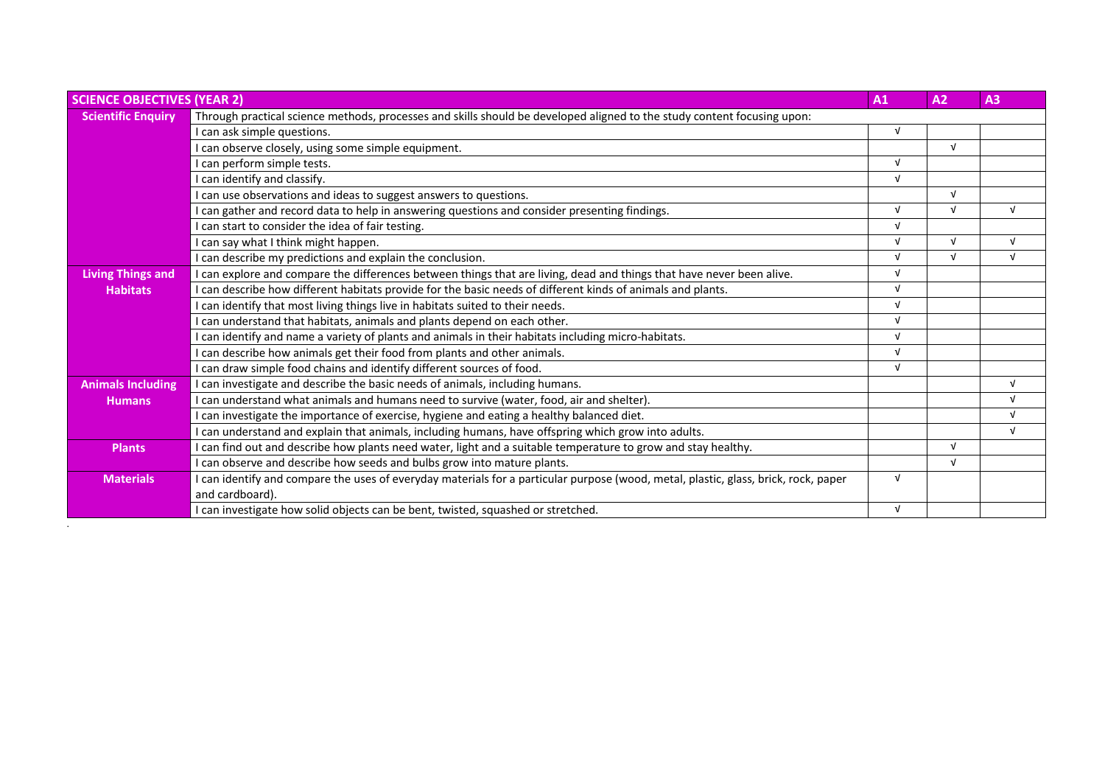| <b>SCIENCE OBJECTIVES (YEAR 2)</b> |                                                                                                                                     | A1         | A <sub>2</sub> | A3         |
|------------------------------------|-------------------------------------------------------------------------------------------------------------------------------------|------------|----------------|------------|
| <b>Scientific Enquiry</b>          | Through practical science methods, processes and skills should be developed aligned to the study content focusing upon:             |            |                |            |
|                                    | I can ask simple questions.                                                                                                         | $\sqrt{ }$ |                |            |
|                                    | I can observe closely, using some simple equipment.                                                                                 |            | $\sqrt{ }$     |            |
|                                    | I can perform simple tests.                                                                                                         | $\sqrt{ }$ |                |            |
|                                    | I can identify and classify.                                                                                                        | $\sqrt{ }$ |                |            |
|                                    | I can use observations and ideas to suggest answers to questions.                                                                   |            | $\sqrt{ }$     |            |
|                                    | I can gather and record data to help in answering questions and consider presenting findings.                                       | $\sqrt{ }$ | $\sqrt{ }$     | $\sqrt{ }$ |
|                                    | I can start to consider the idea of fair testing.                                                                                   | $\sqrt{ }$ |                |            |
|                                    | I can say what I think might happen.                                                                                                | $\sqrt{ }$ | $\sqrt{ }$     | $\sqrt{ }$ |
|                                    | I can describe my predictions and explain the conclusion.                                                                           | $\sqrt{ }$ | $\sqrt{ }$     | $\sqrt{ }$ |
| <b>Living Things and</b>           | I can explore and compare the differences between things that are living, dead and things that have never been alive.               | $\sqrt{ }$ |                |            |
| <b>Habitats</b>                    | I can describe how different habitats provide for the basic needs of different kinds of animals and plants.                         | $\sqrt{ }$ |                |            |
|                                    | I can identify that most living things live in habitats suited to their needs.                                                      | $\sqrt{ }$ |                |            |
|                                    | can understand that habitats, animals and plants depend on each other.                                                              | $\sqrt{ }$ |                |            |
|                                    | I can identify and name a variety of plants and animals in their habitats including micro-habitats.                                 | $\sqrt{ }$ |                |            |
|                                    | can describe how animals get their food from plants and other animals.                                                              | $\sqrt{ }$ |                |            |
|                                    | I can draw simple food chains and identify different sources of food.                                                               | $\sqrt{ }$ |                |            |
| <b>Animals Including</b>           | I can investigate and describe the basic needs of animals, including humans.                                                        |            |                | $\sqrt{ }$ |
| <b>Humans</b>                      | I can understand what animals and humans need to survive (water, food, air and shelter).                                            |            |                | $\sqrt{ }$ |
|                                    | I can investigate the importance of exercise, hygiene and eating a healthy balanced diet.                                           |            |                | $\sqrt{ }$ |
|                                    | I can understand and explain that animals, including humans, have offspring which grow into adults.                                 |            |                | $\sqrt{ }$ |
| <b>Plants</b>                      | I can find out and describe how plants need water, light and a suitable temperature to grow and stay healthy.                       |            | $\sqrt{ }$     |            |
|                                    | can observe and describe how seeds and bulbs grow into mature plants.                                                               |            | $\sqrt{ }$     |            |
| <b>Materials</b>                   | I can identify and compare the uses of everyday materials for a particular purpose (wood, metal, plastic, glass, brick, rock, paper | $\sqrt{ }$ |                |            |
|                                    | and cardboard).                                                                                                                     |            |                |            |
|                                    | I can investigate how solid objects can be bent, twisted, squashed or stretched.                                                    | $\sqrt{ }$ |                |            |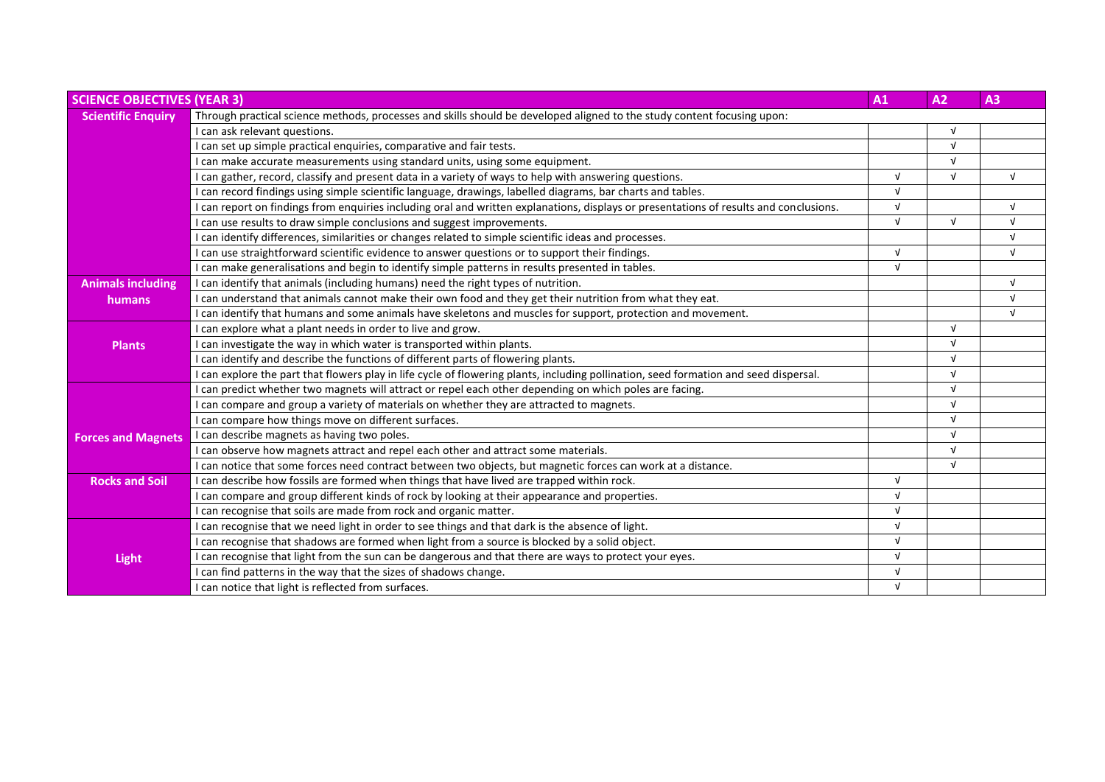| <b>SCIENCE OBJECTIVES (YEAR 3)</b> |                                                                                                                                        | A1         | A <sub>2</sub> | A3         |
|------------------------------------|----------------------------------------------------------------------------------------------------------------------------------------|------------|----------------|------------|
| <b>Scientific Enquiry</b>          | Through practical science methods, processes and skills should be developed aligned to the study content focusing upon:                |            |                |            |
|                                    | I can ask relevant questions.                                                                                                          |            |                |            |
|                                    | I can set up simple practical enquiries, comparative and fair tests.                                                                   |            | $\sqrt{ }$     |            |
|                                    | I can make accurate measurements using standard units, using some equipment.                                                           |            | $\sqrt{ }$     |            |
|                                    | I can gather, record, classify and present data in a variety of ways to help with answering questions.                                 | $\sqrt{ }$ | $\sqrt{ }$     | $\sqrt{ }$ |
|                                    | I can record findings using simple scientific language, drawings, labelled diagrams, bar charts and tables.                            | $\sqrt{ }$ |                |            |
|                                    | I can report on findings from enquiries including oral and written explanations, displays or presentations of results and conclusions. | $\sqrt{ }$ |                | $\sqrt{ }$ |
|                                    | I can use results to draw simple conclusions and suggest improvements.                                                                 | $\sqrt{ }$ | $\sqrt{ }$     | $\sqrt{ }$ |
|                                    | I can identify differences, similarities or changes related to simple scientific ideas and processes.                                  |            |                | $\sqrt{ }$ |
|                                    | I can use straightforward scientific evidence to answer questions or to support their findings.                                        | $\sqrt{ }$ |                | $\sqrt{ }$ |
|                                    | I can make generalisations and begin to identify simple patterns in results presented in tables.                                       | $\sqrt{ }$ |                |            |
| <b>Animals including</b>           | I can identify that animals (including humans) need the right types of nutrition.                                                      |            |                | $\sqrt{ }$ |
| humans                             | I can understand that animals cannot make their own food and they get their nutrition from what they eat.                              |            |                | $\sqrt{ }$ |
|                                    | I can identify that humans and some animals have skeletons and muscles for support, protection and movement.                           |            |                | $\sqrt{ }$ |
|                                    | I can explore what a plant needs in order to live and grow.                                                                            |            | $\sqrt{ }$     |            |
| <b>Plants</b>                      | I can investigate the way in which water is transported within plants.                                                                 |            |                |            |
|                                    | I can identify and describe the functions of different parts of flowering plants.                                                      |            | $\sqrt{ }$     |            |
|                                    | I can explore the part that flowers play in life cycle of flowering plants, including pollination, seed formation and seed dispersal.  |            | $\sqrt{ }$     |            |
|                                    | I can predict whether two magnets will attract or repel each other depending on which poles are facing.                                |            | $\sqrt{ }$     |            |
|                                    | I can compare and group a variety of materials on whether they are attracted to magnets.                                               |            | $\sqrt{ }$     |            |
|                                    | I can compare how things move on different surfaces.                                                                                   |            | $\sqrt{ }$     |            |
| <b>Forces and Magnets</b>          | I can describe magnets as having two poles.                                                                                            |            | $\sqrt{ }$     |            |
|                                    | I can observe how magnets attract and repel each other and attract some materials.                                                     |            | $\sqrt{ }$     |            |
|                                    | I can notice that some forces need contract between two objects, but magnetic forces can work at a distance.                           |            | $\sqrt{ }$     |            |
| <b>Rocks and Soil</b>              | I can describe how fossils are formed when things that have lived are trapped within rock.                                             | $\sqrt{ }$ |                |            |
|                                    | I can compare and group different kinds of rock by looking at their appearance and properties.                                         | $\sqrt{ }$ |                |            |
|                                    | I can recognise that soils are made from rock and organic matter.                                                                      | V          |                |            |
|                                    | I can recognise that we need light in order to see things and that dark is the absence of light.                                       | $\sqrt{ }$ |                |            |
|                                    | I can recognise that shadows are formed when light from a source is blocked by a solid object.                                         | $\sqrt{ }$ |                |            |
| <b>Light</b>                       | I can recognise that light from the sun can be dangerous and that there are ways to protect your eyes.                                 | $\sqrt{ }$ |                |            |
|                                    | I can find patterns in the way that the sizes of shadows change.                                                                       | $\sqrt{ }$ |                |            |
|                                    | I can notice that light is reflected from surfaces.                                                                                    | $\sqrt{ }$ |                |            |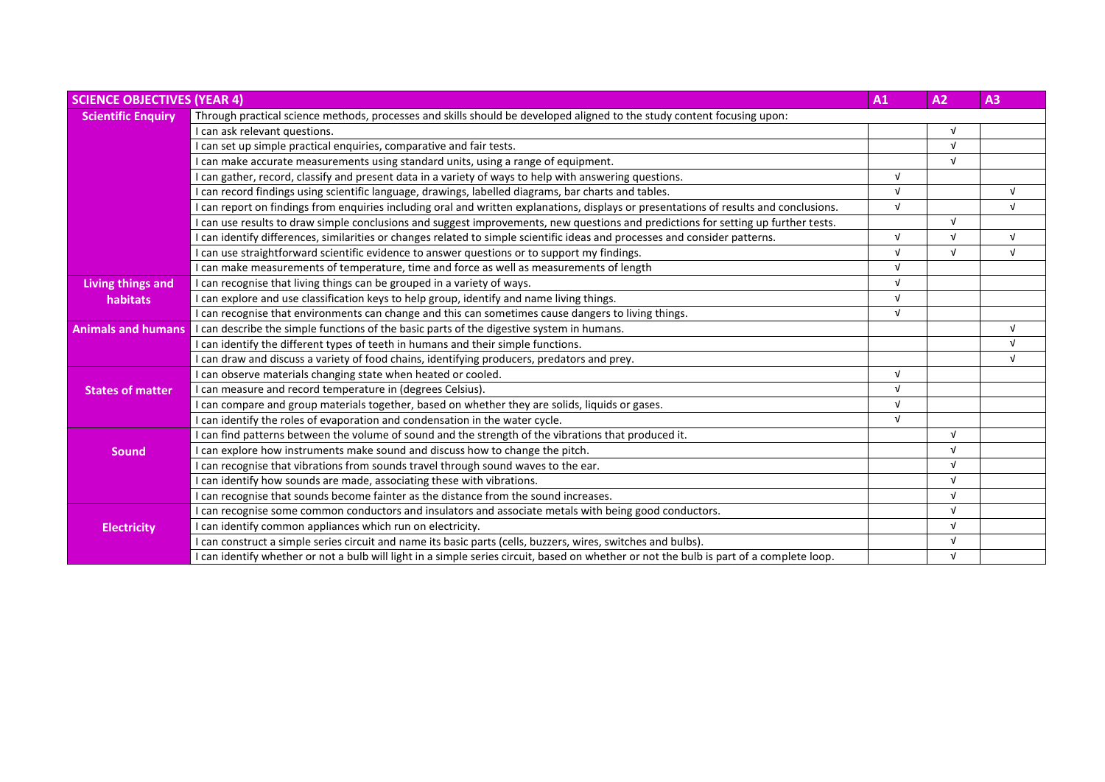| <b>SCIENCE OBJECTIVES (YEAR 4)</b> |                                                                                                                                          | A1         | A2             | A3         |
|------------------------------------|------------------------------------------------------------------------------------------------------------------------------------------|------------|----------------|------------|
| <b>Scientific Enquiry</b>          | Through practical science methods, processes and skills should be developed aligned to the study content focusing upon:                  |            |                |            |
|                                    | I can ask relevant questions.                                                                                                            |            | N              |            |
|                                    | I can set up simple practical enquiries, comparative and fair tests.                                                                     |            | $\sqrt{ }$     |            |
|                                    | I can make accurate measurements using standard units, using a range of equipment.                                                       |            | $\sqrt{ }$     |            |
|                                    | I can gather, record, classify and present data in a variety of ways to help with answering questions.                                   | $\sqrt{ }$ |                |            |
|                                    | I can record findings using scientific language, drawings, labelled diagrams, bar charts and tables.                                     | $\sqrt{ }$ |                | $\sqrt{ }$ |
|                                    | I can report on findings from enquiries including oral and written explanations, displays or presentations of results and conclusions.   | $\sqrt{ }$ |                | $\sqrt{ }$ |
|                                    | I can use results to draw simple conclusions and suggest improvements, new questions and predictions for setting up further tests.       |            | $\sqrt{ }$     |            |
|                                    | I can identify differences, similarities or changes related to simple scientific ideas and processes and consider patterns.              | $\sqrt{ }$ | $\overline{v}$ | $\sqrt{ }$ |
|                                    | I can use straightforward scientific evidence to answer questions or to support my findings.                                             | $\sqrt{ }$ | $\sqrt{ }$     | $\sqrt{ }$ |
|                                    | I can make measurements of temperature, time and force as well as measurements of length                                                 | $\sqrt{ }$ |                |            |
| Living things and                  | I can recognise that living things can be grouped in a variety of ways.                                                                  | $\sqrt{ }$ |                |            |
| habitats                           | I can explore and use classification keys to help group, identify and name living things.                                                | $\sqrt{ }$ |                |            |
|                                    | I can recognise that environments can change and this can sometimes cause dangers to living things.                                      | $\sqrt{ }$ |                |            |
| <b>Animals and humans</b>          | I can describe the simple functions of the basic parts of the digestive system in humans.                                                |            |                | $\sqrt{ }$ |
|                                    | I can identify the different types of teeth in humans and their simple functions.                                                        |            |                | $\sqrt{ }$ |
|                                    | I can draw and discuss a variety of food chains, identifying producers, predators and prey.                                              |            |                | $\sqrt{ }$ |
|                                    | I can observe materials changing state when heated or cooled.                                                                            | $\sqrt{ }$ |                |            |
| <b>States of matter</b>            | I can measure and record temperature in (degrees Celsius).                                                                               | $\sqrt{ }$ |                |            |
|                                    | I can compare and group materials together, based on whether they are solids, liquids or gases.                                          | $\sqrt{ }$ |                |            |
|                                    | I can identify the roles of evaporation and condensation in the water cycle.                                                             | $\sqrt{ }$ |                |            |
|                                    | I can find patterns between the volume of sound and the strength of the vibrations that produced it.                                     |            | $\sqrt{ }$     |            |
| <b>Sound</b>                       | I can explore how instruments make sound and discuss how to change the pitch.                                                            |            | $\sqrt{ }$     |            |
|                                    | I can recognise that vibrations from sounds travel through sound waves to the ear.                                                       |            | $\sqrt{ }$     |            |
|                                    | I can identify how sounds are made, associating these with vibrations.                                                                   |            | $\sqrt{ }$     |            |
|                                    | I can recognise that sounds become fainter as the distance from the sound increases.                                                     |            | $\sqrt{ }$     |            |
|                                    | I can recognise some common conductors and insulators and associate metals with being good conductors.                                   |            | $\sqrt{ }$     |            |
| <b>Electricity</b>                 | I can identify common appliances which run on electricity.                                                                               |            | $\sqrt{ }$     |            |
|                                    | I can construct a simple series circuit and name its basic parts (cells, buzzers, wires, switches and bulbs).                            |            | $\sqrt{ }$     |            |
|                                    | I can identify whether or not a bulb will light in a simple series circuit, based on whether or not the bulb is part of a complete loop. |            | $\sqrt{ }$     |            |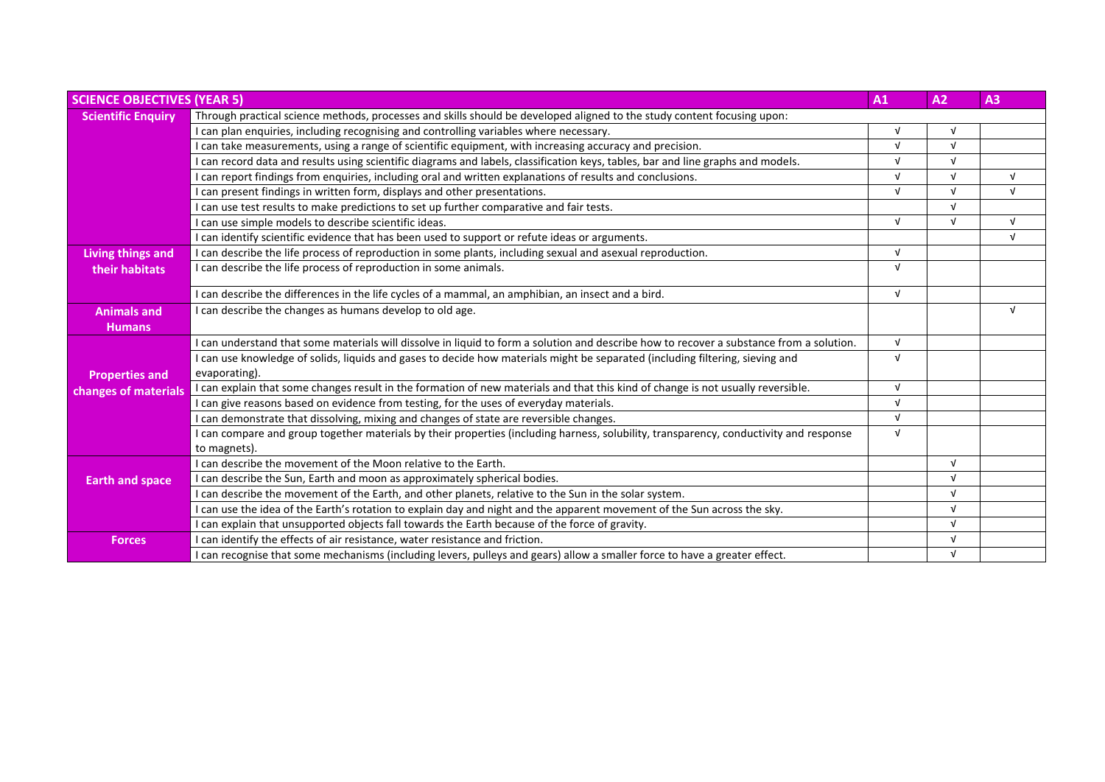| <b>SCIENCE OBJECTIVES (YEAR 5)</b> |                                                                                                                                          | A1         | A2           | A3         |
|------------------------------------|------------------------------------------------------------------------------------------------------------------------------------------|------------|--------------|------------|
| <b>Scientific Enquiry</b>          | Through practical science methods, processes and skills should be developed aligned to the study content focusing upon:                  |            |              |            |
|                                    | I can plan enquiries, including recognising and controlling variables where necessary.                                                   | $\sqrt{ }$ | $\sqrt{ }$   |            |
|                                    | I can take measurements, using a range of scientific equipment, with increasing accuracy and precision.                                  | $\sqrt{ }$ | $\mathbf{v}$ |            |
|                                    | I can record data and results using scientific diagrams and labels, classification keys, tables, bar and line graphs and models.         | $\sqrt{ }$ |              |            |
|                                    | I can report findings from enquiries, including oral and written explanations of results and conclusions.                                | $\sqrt{ }$ | $\sqrt{ }$   | $\sqrt{ }$ |
|                                    | I can present findings in written form, displays and other presentations.                                                                | $\sqrt{ }$ | $\sqrt{ }$   | $\sqrt{ }$ |
|                                    | I can use test results to make predictions to set up further comparative and fair tests.                                                 |            | $\sqrt{ }$   |            |
|                                    | I can use simple models to describe scientific ideas.                                                                                    | $\sqrt{ }$ | $\sqrt{ }$   | $\sqrt{ }$ |
|                                    | I can identify scientific evidence that has been used to support or refute ideas or arguments.                                           |            |              | $\sqrt{ }$ |
| <b>Living things and</b>           | I can describe the life process of reproduction in some plants, including sexual and asexual reproduction.                               | $\sqrt{ }$ |              |            |
| their habitats                     | I can describe the life process of reproduction in some animals.                                                                         | $\sqrt{ }$ |              |            |
|                                    | I can describe the differences in the life cycles of a mammal, an amphibian, an insect and a bird.                                       | $\sqrt{ }$ |              |            |
| <b>Animals and</b>                 | I can describe the changes as humans develop to old age.                                                                                 |            |              | $\sqrt{ }$ |
| <b>Humans</b>                      |                                                                                                                                          |            |              |            |
|                                    | I can understand that some materials will dissolve in liquid to form a solution and describe how to recover a substance from a solution. | $\sqrt{ }$ |              |            |
|                                    | I can use knowledge of solids, liquids and gases to decide how materials might be separated (including filtering, sieving and            | $\sqrt{ }$ |              |            |
| <b>Properties and</b>              | evaporating).                                                                                                                            |            |              |            |
| changes of materials               | I can explain that some changes result in the formation of new materials and that this kind of change is not usually reversible.         | $\sqrt{ }$ |              |            |
|                                    | I can give reasons based on evidence from testing, for the uses of everyday materials.                                                   | $\sqrt{ }$ |              |            |
|                                    | I can demonstrate that dissolving, mixing and changes of state are reversible changes.                                                   | $\sqrt{ }$ |              |            |
|                                    | I can compare and group together materials by their properties (including harness, solubility, transparency, conductivity and response   | $\sqrt{ }$ |              |            |
|                                    | to magnets).                                                                                                                             |            |              |            |
|                                    | I can describe the movement of the Moon relative to the Earth.                                                                           |            | $\sqrt{ }$   |            |
| <b>Earth and space</b>             | I can describe the Sun, Earth and moon as approximately spherical bodies.                                                                |            | $\sqrt{ }$   |            |
|                                    | I can describe the movement of the Earth, and other planets, relative to the Sun in the solar system.                                    |            | $\sqrt{ }$   |            |
|                                    | I can use the idea of the Earth's rotation to explain day and night and the apparent movement of the Sun across the sky.                 |            | $\sqrt{ }$   |            |
|                                    | I can explain that unsupported objects fall towards the Earth because of the force of gravity.                                           |            | $\sqrt{ }$   |            |
| <b>Forces</b>                      | I can identify the effects of air resistance, water resistance and friction.                                                             |            | $\sqrt{ }$   |            |
|                                    | I can recognise that some mechanisms (including levers, pulleys and gears) allow a smaller force to have a greater effect.               |            | $\sqrt{ }$   |            |